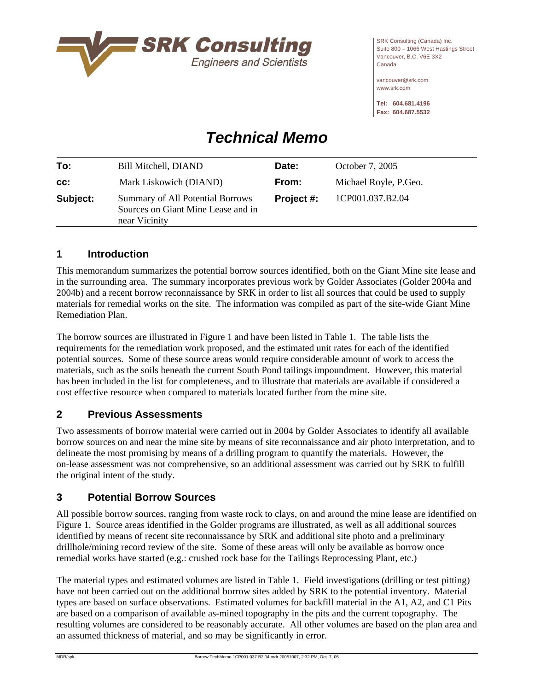

SRK Consulting (Canada) Inc. Suite 800 – 1066 West Hastings Street Vancouver, B.C. V6E 3X2 Canada

vancouver@srk.com www.srk.com

**Tel: 604.681.4196 Fax: 604.687.5532** 

# *Technical Memo*

| To:      | <b>Bill Mitchell, DIAND</b>                                                             | Date:      | October 7, 2005       |
|----------|-----------------------------------------------------------------------------------------|------------|-----------------------|
| cc:      | Mark Liskowich (DIAND)                                                                  | From:      | Michael Royle, P.Geo. |
| Subject: | Summary of All Potential Borrows<br>Sources on Giant Mine Lease and in<br>near Vicinity | Project #: | 1CP001.037.B2.04      |
|          |                                                                                         |            |                       |

## **1 Introduction**

This memorandum summarizes the potential borrow sources identified, both on the Giant Mine site lease and in the surrounding area. The summary incorporates previous work by Golder Associates (Golder 2004a and 2004b) and a recent borrow reconnaissance by SRK in order to list all sources that could be used to supply materials for remedial works on the site. The information was compiled as part of the site-wide Giant Mine Remediation Plan.

The borrow sources are illustrated in Figure 1 and have been listed in Table 1. The table lists the requirements for the remediation work proposed, and the estimated unit rates for each of the identified potential sources. Some of these source areas would require considerable amount of work to access the materials, such as the soils beneath the current South Pond tailings impoundment. However, this material has been included in the list for completeness, and to illustrate that materials are available if considered a cost effective resource when compared to materials located further from the mine site.

## **2 Previous Assessments**

Two assessments of borrow material were carried out in 2004 by Golder Associates to identify all available borrow sources on and near the mine site by means of site reconnaissance and air photo interpretation, and to delineate the most promising by means of a drilling program to quantify the materials. However, the on-lease assessment was not comprehensive, so an additional assessment was carried out by SRK to fulfill the original intent of the study.

## **3 Potential Borrow Sources**

All possible borrow sources, ranging from waste rock to clays, on and around the mine lease are identified on Figure 1. Source areas identified in the Golder programs are illustrated, as well as all additional sources identified by means of recent site reconnaissance by SRK and additional site photo and a preliminary drillhole/mining record review of the site. Some of these areas will only be available as borrow once remedial works have started (e.g.: crushed rock base for the Tailings Reprocessing Plant, etc.)

The material types and estimated volumes are listed in Table 1. Field investigations (drilling or test pitting) have not been carried out on the additional borrow sites added by SRK to the potential inventory. Material types are based on surface observations. Estimated volumes for backfill material in the A1, A2, and C1 Pits are based on a comparison of available as-mined topography in the pits and the current topography. The resulting volumes are considered to be reasonably accurate. All other volumes are based on the plan area and an assumed thickness of material, and so may be significantly in error.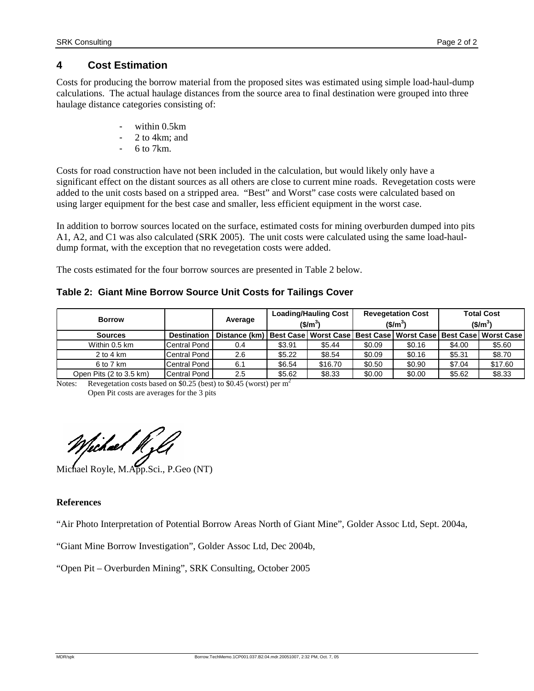## **4 Cost Estimation**

Costs for producing the borrow material from the proposed sites was estimated using simple load-haul-dump calculations. The actual haulage distances from the source area to final destination were grouped into three haulage distance categories consisting of:

- within 0.5km
- 2 to 4km; and
- $6$  to 7 $km$ .

Costs for road construction have not been included in the calculation, but would likely only have a significant effect on the distant sources as all others are close to current mine roads. Revegetation costs were added to the unit costs based on a stripped area. "Best" and Worst" case costs were calculated based on using larger equipment for the best case and smaller, less efficient equipment in the worst case.

In addition to borrow sources located on the surface, estimated costs for mining overburden dumped into pits A1, A2, and C1 was also calculated (SRK 2005). The unit costs were calculated using the same load-hauldump format, with the exception that no revegetation costs were added.

The costs estimated for the four borrow sources are presented in Table 2 below.

### **Table 2: Giant Mine Borrow Source Unit Costs for Tailings Cover**

| <b>Borrow</b>           |                     | Average                                                                                  |        | <b>Loading/Hauling Cost</b><br>$$/m^3$$ |        | <b>Revegetation Cost</b><br>$$/m^3$$ | <b>Total Cost</b><br>$$/m^3$$ |         |  |  |
|-------------------------|---------------------|------------------------------------------------------------------------------------------|--------|-----------------------------------------|--------|--------------------------------------|-------------------------------|---------|--|--|
| <b>Sources</b>          | <b>Destination</b>  | Distance (km)   Best Case   Worst Case   Best Case   Worst Case   Best Case   Worst Case |        |                                         |        |                                      |                               |         |  |  |
| Within 0.5 km           | Central Pond        | 0.4                                                                                      | \$3.91 | \$5.44                                  | \$0.09 | \$0.16                               | \$4.00                        | \$5.60  |  |  |
| $2$ to 4 km             | Central Pond        | 2.6                                                                                      | \$5.22 | \$8.54                                  | \$0.09 | \$0.16                               | \$5.31                        | \$8.70  |  |  |
| 6 to 7 km               | Central Pond        | 6.1                                                                                      | \$6.54 | \$16.70                                 | \$0.50 | \$0.90                               | \$7.04                        | \$17.60 |  |  |
| Open Pits (2 to 3.5 km) | <b>Central Pond</b> | 2.5                                                                                      | \$5.62 | \$8.33                                  | \$0.00 | \$0.00                               | \$5.62                        | \$8.33  |  |  |

Notes: Revegetation costs based on \$0.25 (best) to \$0.45 (worst) per  $m<sup>2</sup>$ Open Pit costs are averages for the 3 pits

Tichael h

Michael Royle, M.App.Sci., P.Geo (NT)

#### **References**

"Air Photo Interpretation of Potential Borrow Areas North of Giant Mine", Golder Assoc Ltd, Sept. 2004a,

"Giant Mine Borrow Investigation", Golder Assoc Ltd, Dec 2004b,

"Open Pit – Overburden Mining", SRK Consulting, October 2005